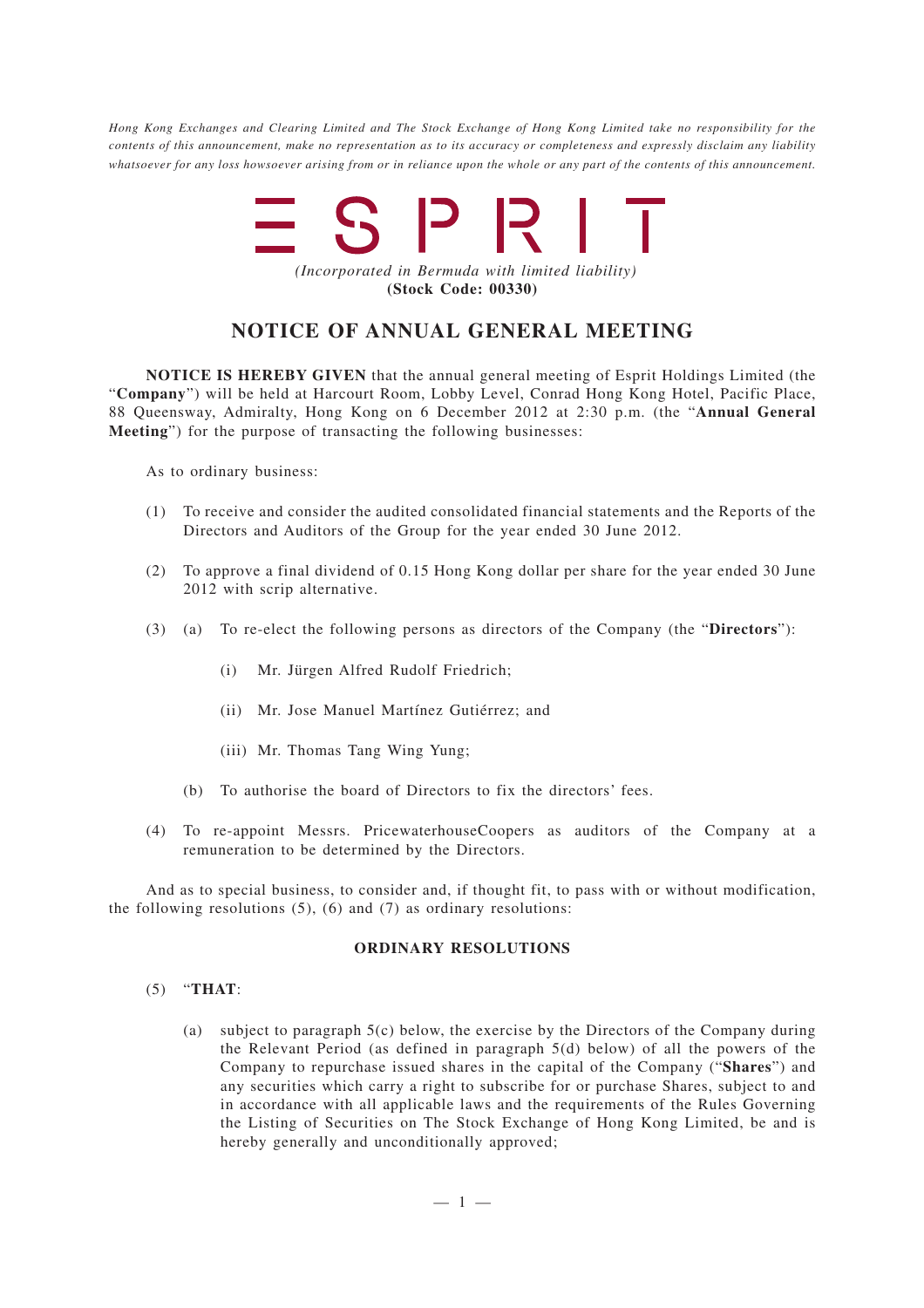*Hong Kong Exchanges and Clearing Limited and The Stock Exchange of Hong Kong Limited take no responsibility for the contents of this announcement, make no representation as to its accuracy or completeness and expressly disclaim any liability whatsoever for any loss howsoever arising from or in reliance upon the whole or any part of the contents of this announcement.*



## **NOTICE OF ANNUAL GENERAL MEETING**

**NOTICE IS HEREBY GIVEN** that the annual general meeting of Esprit Holdings Limited (the "**Company**") will be held at Harcourt Room, Lobby Level, Conrad Hong Kong Hotel, Pacific Place, 88 Queensway, Admiralty, Hong Kong on 6 December 2012 at 2:30 p.m. (the "**Annual General Meeting**") for the purpose of transacting the following businesses:

As to ordinary business:

- (1) To receive and consider the audited consolidated financial statements and the Reports of the Directors and Auditors of the Group for the year ended 30 June 2012.
- (2) To approve a final dividend of 0.15 Hong Kong dollar per share for the year ended 30 June 2012 with scrip alternative.
- (3) (a) To re-elect the following persons as directors of the Company (the "**Directors**"):
	- (i) Mr. Jürgen Alfred Rudolf Friedrich;
	- (ii) Mr. Jose Manuel Martínez Gutiérrez; and
	- (iii) Mr. Thomas Tang Wing Yung;
	- (b) To authorise the board of Directors to fix the directors' fees.
- (4) To re-appoint Messrs. PricewaterhouseCoopers as auditors of the Company at a remuneration to be determined by the Directors.

And as to special business, to consider and, if thought fit, to pass with or without modification, the following resolutions  $(5)$ ,  $(6)$  and  $(7)$  as ordinary resolutions:

## **ORDINARY RESOLUTIONS**

## (5) "**THAT**:

(a) subject to paragraph  $5(c)$  below, the exercise by the Directors of the Company during the Relevant Period (as defined in paragraph 5(d) below) of all the powers of the Company to repurchase issued shares in the capital of the Company ("**Shares**") and any securities which carry a right to subscribe for or purchase Shares, subject to and in accordance with all applicable laws and the requirements of the Rules Governing the Listing of Securities on The Stock Exchange of Hong Kong Limited, be and is hereby generally and unconditionally approved;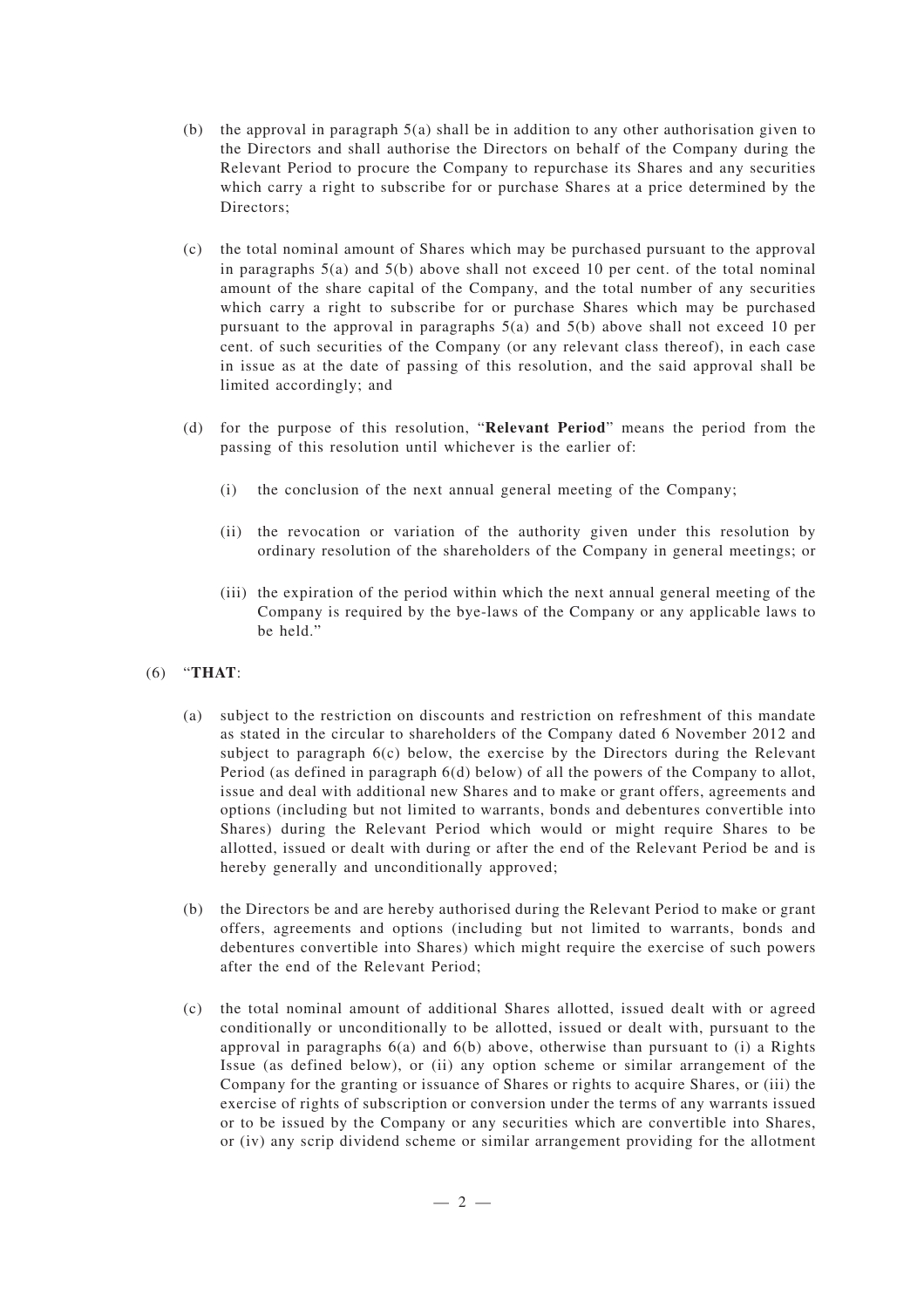- (b) the approval in paragraph  $5(a)$  shall be in addition to any other authorisation given to the Directors and shall authorise the Directors on behalf of the Company during the Relevant Period to procure the Company to repurchase its Shares and any securities which carry a right to subscribe for or purchase Shares at a price determined by the Directors;
- (c) the total nominal amount of Shares which may be purchased pursuant to the approval in paragraphs  $5(a)$  and  $5(b)$  above shall not exceed 10 per cent. of the total nominal amount of the share capital of the Company, and the total number of any securities which carry a right to subscribe for or purchase Shares which may be purchased pursuant to the approval in paragraphs 5(a) and 5(b) above shall not exceed 10 per cent. of such securities of the Company (or any relevant class thereof), in each case in issue as at the date of passing of this resolution, and the said approval shall be limited accordingly; and
- (d) for the purpose of this resolution, "**Relevant Period**" means the period from the passing of this resolution until whichever is the earlier of:
	- (i) the conclusion of the next annual general meeting of the Company;
	- (ii) the revocation or variation of the authority given under this resolution by ordinary resolution of the shareholders of the Company in general meetings; or
	- (iii) the expiration of the period within which the next annual general meeting of the Company is required by the bye-laws of the Company or any applicable laws to be held."
- (6) "**THAT**:
	- (a) subject to the restriction on discounts and restriction on refreshment of this mandate as stated in the circular to shareholders of the Company dated 6 November 2012 and subject to paragraph 6(c) below, the exercise by the Directors during the Relevant Period (as defined in paragraph 6(d) below) of all the powers of the Company to allot, issue and deal with additional new Shares and to make or grant offers, agreements and options (including but not limited to warrants, bonds and debentures convertible into Shares) during the Relevant Period which would or might require Shares to be allotted, issued or dealt with during or after the end of the Relevant Period be and is hereby generally and unconditionally approved;
	- (b) the Directors be and are hereby authorised during the Relevant Period to make or grant offers, agreements and options (including but not limited to warrants, bonds and debentures convertible into Shares) which might require the exercise of such powers after the end of the Relevant Period;
	- (c) the total nominal amount of additional Shares allotted, issued dealt with or agreed conditionally or unconditionally to be allotted, issued or dealt with, pursuant to the approval in paragraphs 6(a) and 6(b) above, otherwise than pursuant to (i) a Rights Issue (as defined below), or (ii) any option scheme or similar arrangement of the Company for the granting or issuance of Shares or rights to acquire Shares, or (iii) the exercise of rights of subscription or conversion under the terms of any warrants issued or to be issued by the Company or any securities which are convertible into Shares, or (iv) any scrip dividend scheme or similar arrangement providing for the allotment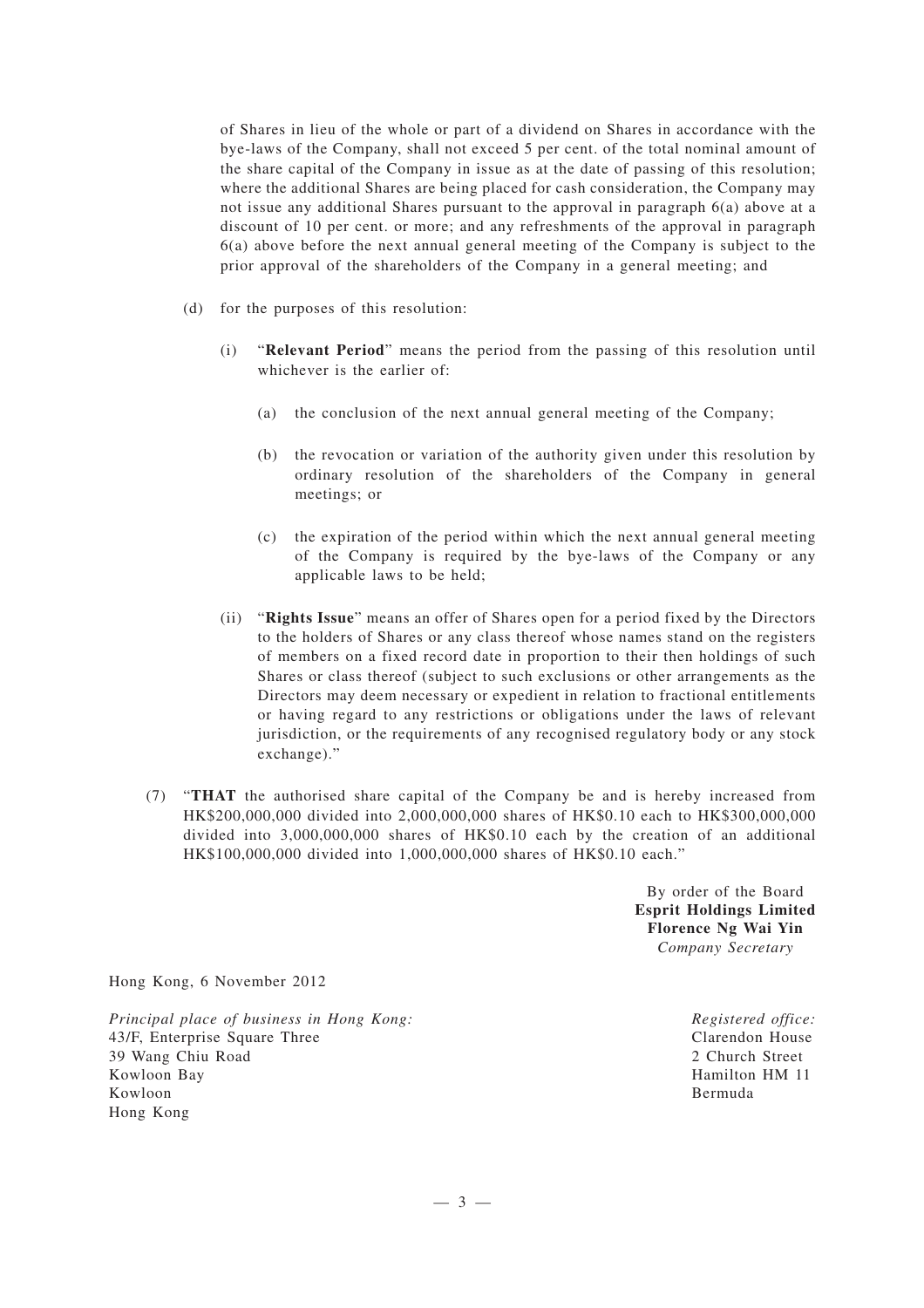of Shares in lieu of the whole or part of a dividend on Shares in accordance with the bye-laws of the Company, shall not exceed 5 per cent. of the total nominal amount of the share capital of the Company in issue as at the date of passing of this resolution; where the additional Shares are being placed for cash consideration, the Company may not issue any additional Shares pursuant to the approval in paragraph 6(a) above at a discount of 10 per cent. or more; and any refreshments of the approval in paragraph 6(a) above before the next annual general meeting of the Company is subject to the prior approval of the shareholders of the Company in a general meeting; and

- (d) for the purposes of this resolution:
	- (i) "**Relevant Period**" means the period from the passing of this resolution until whichever is the earlier of:
		- (a) the conclusion of the next annual general meeting of the Company;
		- (b) the revocation or variation of the authority given under this resolution by ordinary resolution of the shareholders of the Company in general meetings; or
		- (c) the expiration of the period within which the next annual general meeting of the Company is required by the bye-laws of the Company or any applicable laws to be held;
	- (ii) "**Rights Issue**" means an offer of Shares open for a period fixed by the Directors to the holders of Shares or any class thereof whose names stand on the registers of members on a fixed record date in proportion to their then holdings of such Shares or class thereof (subject to such exclusions or other arrangements as the Directors may deem necessary or expedient in relation to fractional entitlements or having regard to any restrictions or obligations under the laws of relevant jurisdiction, or the requirements of any recognised regulatory body or any stock exchange)."
- (7) "**THAT** the authorised share capital of the Company be and is hereby increased from HK\$200,000,000 divided into 2,000,000,000 shares of HK\$0.10 each to HK\$300,000,000 divided into 3,000,000,000 shares of HK\$0.10 each by the creation of an additional HK\$100,000,000 divided into 1,000,000,000 shares of HK\$0.10 each."

By order of the Board **Esprit Holdings Limited Florence Ng Wai Yin** *Company Secretary*

Hong Kong, 6 November 2012

*Principal place of business in Hong Kong:* 43/F, Enterprise Square Three 39 Wang Chiu Road Kowloon Bay Kowloon Hong Kong

*Registered office:* Clarendon House 2 Church Street Hamilton HM 11 Bermuda